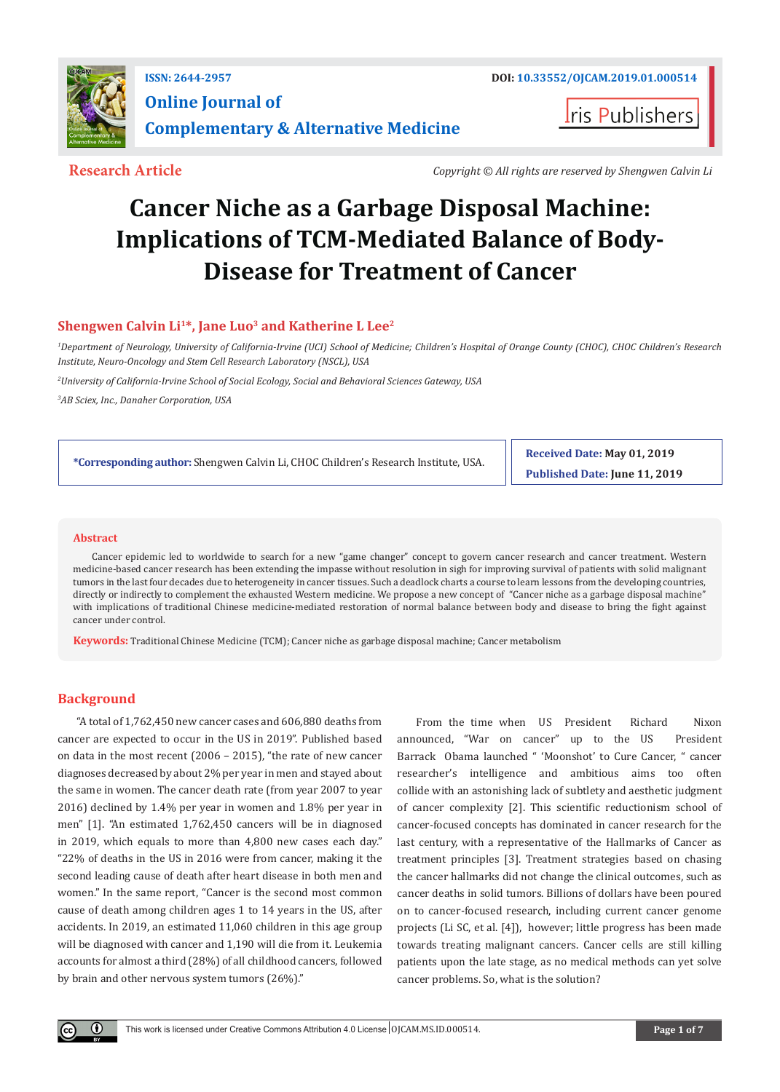

**I**ris Publishers

**Research Article** *Copyright © All rights are reserved by Shengwen Calvin Li*

# **Cancer Niche as a Garbage Disposal Machine: Implications of TCM-Mediated Balance of Body-Disease for Treatment of Cancer**

## Shengwen Calvin Li<sup>1\*</sup>, Jane Luo<sup>3</sup> and Katherine L Lee<sup>2</sup>

*1 Department of Neurology, University of California-Irvine (UCI) School of Medicine; Children's Hospital of Orange County (CHOC), CHOC Children's Research Institute, Neuro-Oncology and Stem Cell Research Laboratory (NSCL), USA*

*2 University of California-Irvine School of Social Ecology, Social and Behavioral Sciences Gateway, USA*

*3 AB Sciex, Inc., Danaher Corporation, USA*

**\*Corresponding author:** Shengwen Calvin Li, CHOC Children's Research Institute, USA.

**Received Date: May 01, 2019 Published Date: June 11, 2019**

### **Abstract**

Cancer epidemic led to worldwide to search for a new "game changer" concept to govern cancer research and cancer treatment. Western medicine-based cancer research has been extending the impasse without resolution in sigh for improving survival of patients with solid malignant tumors in the last four decades due to heterogeneity in cancer tissues. Such a deadlock charts a course to learn lessons from the developing countries, directly or indirectly to complement the exhausted Western medicine. We propose a new concept of "Cancer niche as a garbage disposal machine" with implications of traditional Chinese medicine-mediated restoration of normal balance between body and disease to bring the fight against cancer under control.

**Keywords:** Traditional Chinese Medicine (TCM); Cancer niche as garbage disposal machine; Cancer metabolism

## **Background**

 $\left( \mathbf{r} \right)$ 

"A total of 1,762,450 new cancer cases and 606,880 deaths from cancer are expected to occur in the US in 2019". Published based on data in the most recent (2006 – 2015), "the rate of new cancer diagnoses decreased by about 2% per year in men and stayed about the same in women. The cancer death rate (from year 2007 to year 2016) declined by 1.4% per year in women and 1.8% per year in men" [1]. "An estimated 1,762,450 cancers will be in diagnosed in 2019, which equals to more than 4,800 new cases each day." "22% of deaths in the US in 2016 were from cancer, making it the second leading cause of death after heart disease in both men and women." In the same report, "Cancer is the second most common cause of death among children ages 1 to 14 years in the US, after accidents. In 2019, an estimated 11,060 children in this age group will be diagnosed with cancer and 1,190 will die from it. Leukemia accounts for almost a third (28%) of all childhood cancers, followed by brain and other nervous system tumors (26%)."

From the time when US President Richard Nixon announced, "War on cancer" up to the US President Barrack Obama launched " 'Moonshot' to Cure Cancer, " cancer researcher's intelligence and ambitious aims too often collide with an astonishing lack of subtlety and aesthetic judgment of cancer complexity [2]. This scientific reductionism school of cancer-focused concepts has dominated in cancer research for the last century, with a representative of the Hallmarks of Cancer as treatment principles [3]. Treatment strategies based on chasing the cancer hallmarks did not change the clinical outcomes, such as cancer deaths in solid tumors. Billions of dollars have been poured on to cancer-focused research, including current cancer genome projects (Li SC, et al. [4]), however; little progress has been made towards treating malignant cancers. Cancer cells are still killing patients upon the late stage, as no medical methods can yet solve cancer problems. So, what is the solution?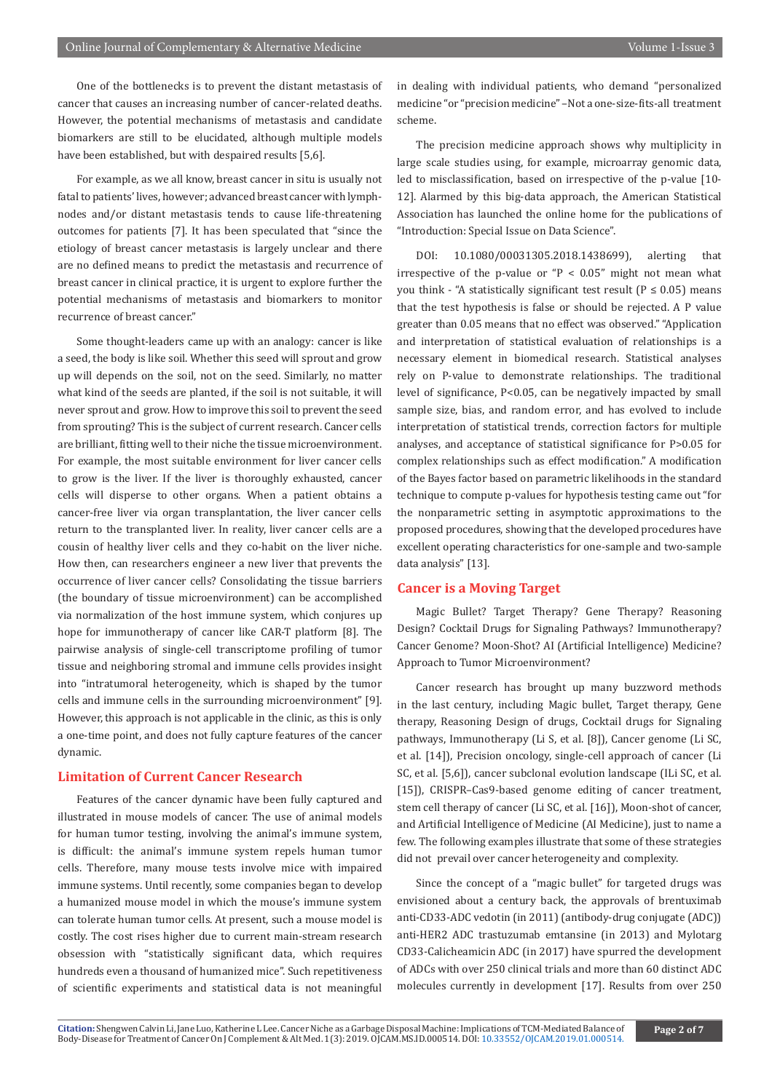One of the bottlenecks is to prevent the distant metastasis of cancer that causes an increasing number of cancer-related deaths. However, the potential mechanisms of metastasis and candidate biomarkers are still to be elucidated, although multiple models have been established, but with despaired results [5,6].

For example, as we all know, breast cancer in situ is usually not fatal to patients' lives, however; advanced breast cancer with lymphnodes and/or distant metastasis tends to cause life-threatening outcomes for patients [7]. It has been speculated that "since the etiology of breast cancer metastasis is largely unclear and there are no defined means to predict the metastasis and recurrence of breast cancer in clinical practice, it is urgent to explore further the potential mechanisms of metastasis and biomarkers to monitor recurrence of breast cancer."

Some thought-leaders came up with an analogy: cancer is like a seed, the body is like soil. Whether this seed will sprout and grow up will depends on the soil, not on the seed. Similarly, no matter what kind of the seeds are planted, if the soil is not suitable, it will never sprout and grow. How to improve this soil to prevent the seed from sprouting? This is the subject of current research. Cancer cells are brilliant, fitting well to their niche the tissue microenvironment. For example, the most suitable environment for liver cancer cells to grow is the liver. If the liver is thoroughly exhausted, cancer cells will disperse to other organs. When a patient obtains a cancer-free liver via organ transplantation, the liver cancer cells return to the transplanted liver. In reality, liver cancer cells are a cousin of healthy liver cells and they co-habit on the liver niche. How then, can researchers engineer a new liver that prevents the occurrence of liver cancer cells? Consolidating the tissue barriers (the boundary of tissue microenvironment) can be accomplished via normalization of the host immune system, which conjures up hope for immunotherapy of cancer like CAR-T platform [8]. The pairwise analysis of single-cell transcriptome profiling of tumor tissue and neighboring stromal and immune cells provides insight into "intratumoral heterogeneity, which is shaped by the tumor cells and immune cells in the surrounding microenvironment" [9]. However, this approach is not applicable in the clinic, as this is only a one-time point, and does not fully capture features of the cancer dynamic.

## **Limitation of Current Cancer Research**

Features of the cancer dynamic have been fully captured and illustrated in mouse models of cancer. The use of animal models for human tumor testing, involving the animal's immune system, is difficult: the animal's immune system repels human tumor cells. Therefore, many mouse tests involve mice with impaired immune systems. Until recently, some companies began to develop a humanized mouse model in which the mouse's immune system can tolerate human tumor cells. At present, such a mouse model is costly. The cost rises higher due to current main-stream research obsession with "statistically significant data, which requires hundreds even a thousand of humanized mice". Such repetitiveness of scientific experiments and statistical data is not meaningful

in dealing with individual patients, who demand "personalized medicine "or "precision medicine" –Not a one-size-fits-all treatment scheme.

The precision medicine approach shows why multiplicity in large scale studies using, for example, microarray genomic data, led to misclassification, based on irrespective of the p-value [10- 12]. Alarmed by this big-data approach, the American Statistical Association has launched the online home for the publications of "Introduction: Special Issue on Data Science".

DOI: 10.1080/00031305.2018.1438699), alerting that irrespective of the p-value or " $P < 0.05$ " might not mean what you think - "A statistically significant test result ( $P \le 0.05$ ) means that the test hypothesis is false or should be rejected. A P value greater than 0.05 means that no effect was observed." "Application and interpretation of statistical evaluation of relationships is a necessary element in biomedical research. Statistical analyses rely on P-value to demonstrate relationships. The traditional level of significance, P<0.05, can be negatively impacted by small sample size, bias, and random error, and has evolved to include interpretation of statistical trends, correction factors for multiple analyses, and acceptance of statistical significance for P>0.05 for complex relationships such as effect modification." A modification of the Bayes factor based on parametric likelihoods in the standard technique to compute p-values for hypothesis testing came out "for the nonparametric setting in asymptotic approximations to the proposed procedures, showing that the developed procedures have excellent operating characteristics for one-sample and two-sample data analysis" [13].

## **Cancer is a Moving Target**

Magic Bullet? Target Therapy? Gene Therapy? Reasoning Design? Cocktail Drugs for Signaling Pathways? Immunotherapy? Cancer Genome? Moon-Shot? AI (Artificial Intelligence) Medicine? Approach to Tumor Microenvironment?

Cancer research has brought up many buzzword methods in the last century, including Magic bullet, Target therapy, Gene therapy, Reasoning Design of drugs, Cocktail drugs for Signaling pathways, Immunotherapy (Li S, et al. [8]), Cancer genome (Li SC, et al. [14]), Precision oncology, single-cell approach of cancer (Li SC, et al. [5,6]), cancer subclonal evolution landscape (ILi SC, et al. [15]), CRISPR–Cas9-based genome editing of cancer treatment, stem cell therapy of cancer (Li SC, et al. [16]), Moon-shot of cancer, and Artificial Intelligence of Medicine (AI Medicine), just to name a few. The following examples illustrate that some of these strategies did not prevail over cancer heterogeneity and complexity.

Since the concept of a "magic bullet" for targeted drugs was envisioned about a century back, the approvals of brentuximab anti-CD33-ADC vedotin (in 2011) (antibody-drug conjugate (ADC)) anti-HER2 ADC trastuzumab emtansine (in 2013) and Mylotarg CD33-Calicheamicin ADC (in 2017) have spurred the development of ADCs with over 250 clinical trials and more than 60 distinct ADC molecules currently in development [17]. Results from over 250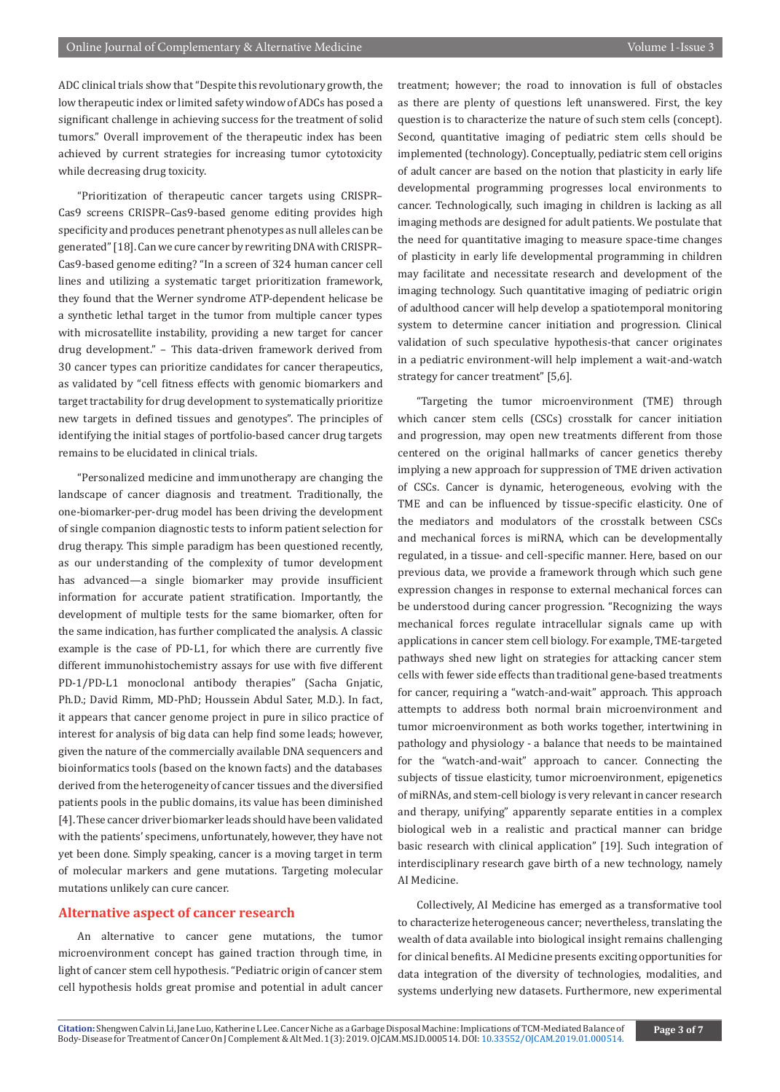ADC clinical trials show that "Despite this revolutionary growth, the low therapeutic index or limited safety window of ADCs has posed a significant challenge in achieving success for the treatment of solid tumors." Overall improvement of the therapeutic index has been achieved by current strategies for increasing tumor cytotoxicity while decreasing drug toxicity.

"Prioritization of therapeutic cancer targets using CRISPR– Cas9 screens CRISPR–Cas9-based genome editing provides high specificity and produces penetrant phenotypes as null alleles can be generated" [18]. Can we cure cancer by rewriting DNA with CRISPR– Cas9-based genome editing? "In a screen of 324 human cancer cell lines and utilizing a systematic target prioritization framework, they found that the Werner syndrome ATP-dependent helicase be a synthetic lethal target in the tumor from multiple cancer types with microsatellite instability, providing a new target for cancer drug development." – This data-driven framework derived from 30 cancer types can prioritize candidates for cancer therapeutics, as validated by "cell fitness effects with genomic biomarkers and target tractability for drug development to systematically prioritize new targets in defined tissues and genotypes". The principles of identifying the initial stages of portfolio-based cancer drug targets remains to be elucidated in clinical trials.

"Personalized medicine and immunotherapy are changing the landscape of cancer diagnosis and treatment. Traditionally, the one-biomarker-per-drug model has been driving the development of single companion diagnostic tests to inform patient selection for drug therapy. This simple paradigm has been questioned recently, as our understanding of the complexity of tumor development has advanced—a single biomarker may provide insufficient information for accurate patient stratification. Importantly, the development of multiple tests for the same biomarker, often for the same indication, has further complicated the analysis. A classic example is the case of PD-L1, for which there are currently five different immunohistochemistry assays for use with five different PD-1/PD-L1 monoclonal antibody therapies" (Sacha Gnjatic, Ph.D.; David Rimm, MD-PhD; Houssein Abdul Sater, M.D.). In fact, it appears that cancer genome project in pure in silico practice of interest for analysis of big data can help find some leads; however, given the nature of the commercially available DNA sequencers and bioinformatics tools (based on the known facts) and the databases derived from the heterogeneity of cancer tissues and the diversified patients pools in the public domains, its value has been diminished [4]. These cancer driver biomarker leads should have been validated with the patients' specimens, unfortunately, however, they have not yet been done. Simply speaking, cancer is a moving target in term of molecular markers and gene mutations. Targeting molecular mutations unlikely can cure cancer.

### **Alternative aspect of cancer research**

An alternative to cancer gene mutations, the tumor microenvironment concept has gained traction through time, in light of cancer stem cell hypothesis. "Pediatric origin of cancer stem cell hypothesis holds great promise and potential in adult cancer treatment; however; the road to innovation is full of obstacles as there are plenty of questions left unanswered. First, the key question is to characterize the nature of such stem cells (concept). Second, quantitative imaging of pediatric stem cells should be implemented (technology). Conceptually, pediatric stem cell origins of adult cancer are based on the notion that plasticity in early life developmental programming progresses local environments to cancer. Technologically, such imaging in children is lacking as all imaging methods are designed for adult patients. We postulate that the need for quantitative imaging to measure space-time changes of plasticity in early life developmental programming in children may facilitate and necessitate research and development of the imaging technology. Such quantitative imaging of pediatric origin of adulthood cancer will help develop a spatiotemporal monitoring system to determine cancer initiation and progression. Clinical validation of such speculative hypothesis-that cancer originates in a pediatric environment-will help implement a wait-and-watch strategy for cancer treatment" [5,6].

"Targeting the tumor microenvironment (TME) through which cancer stem cells (CSCs) crosstalk for cancer initiation and progression, may open new treatments different from those centered on the original hallmarks of cancer genetics thereby implying a new approach for suppression of TME driven activation of CSCs. Cancer is dynamic, heterogeneous, evolving with the TME and can be influenced by tissue-specific elasticity. One of the mediators and modulators of the crosstalk between CSCs and mechanical forces is miRNA, which can be developmentally regulated, in a tissue- and cell-specific manner. Here, based on our previous data, we provide a framework through which such gene expression changes in response to external mechanical forces can be understood during cancer progression. "Recognizing the ways mechanical forces regulate intracellular signals came up with applications in cancer stem cell biology. For example, TME-targeted pathways shed new light on strategies for attacking cancer stem cells with fewer side effects than traditional gene-based treatments for cancer, requiring a "watch-and-wait" approach. This approach attempts to address both normal brain microenvironment and tumor microenvironment as both works together, intertwining in pathology and physiology - a balance that needs to be maintained for the "watch-and-wait" approach to cancer. Connecting the subjects of tissue elasticity, tumor microenvironment, epigenetics of miRNAs, and stem-cell biology is very relevant in cancer research and therapy, unifying" apparently separate entities in a complex biological web in a realistic and practical manner can bridge basic research with clinical application" [19]. Such integration of interdisciplinary research gave birth of a new technology, namely AI Medicine.

Collectively, AI Medicine has emerged as a transformative tool to characterize heterogeneous cancer; nevertheless, translating the wealth of data available into biological insight remains challenging for clinical benefits. AI Medicine presents exciting opportunities for data integration of the diversity of technologies, modalities, and systems underlying new datasets. Furthermore, new experimental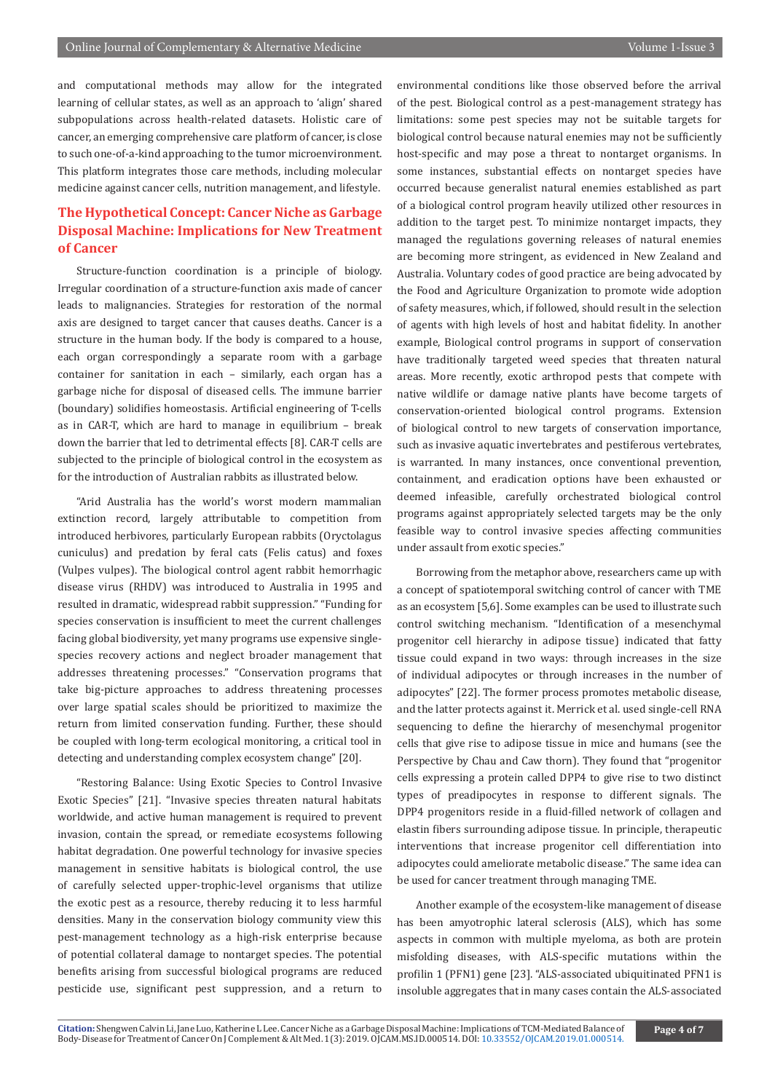and computational methods may allow for the integrated learning of cellular states, as well as an approach to 'align' shared subpopulations across health-related datasets. Holistic care of cancer, an emerging comprehensive care platform of cancer, is close to such one-of-a-kind approaching to the tumor microenvironment. This platform integrates those care methods, including molecular medicine against cancer cells, nutrition management, and lifestyle.

## **The Hypothetical Concept: Cancer Niche as Garbage Disposal Machine: Implications for New Treatment of Cancer**

Structure-function coordination is a principle of biology. Irregular coordination of a structure-function axis made of cancer leads to malignancies. Strategies for restoration of the normal axis are designed to target cancer that causes deaths. Cancer is a structure in the human body. If the body is compared to a house, each organ correspondingly a separate room with a garbage container for sanitation in each – similarly, each organ has a garbage niche for disposal of diseased cells. The immune barrier (boundary) solidifies homeostasis. Artificial engineering of T-cells as in CAR-T, which are hard to manage in equilibrium – break down the barrier that led to detrimental effects [8]. CAR-T cells are subjected to the principle of biological control in the ecosystem as for the introduction of Australian rabbits as illustrated below.

"Arid Australia has the world's worst modern mammalian extinction record, largely attributable to competition from introduced herbivores, particularly European rabbits (Oryctolagus cuniculus) and predation by feral cats (Felis catus) and foxes (Vulpes vulpes). The biological control agent rabbit hemorrhagic disease virus (RHDV) was introduced to Australia in 1995 and resulted in dramatic, widespread rabbit suppression." "Funding for species conservation is insufficient to meet the current challenges facing global biodiversity, yet many programs use expensive singlespecies recovery actions and neglect broader management that addresses threatening processes." "Conservation programs that take big-picture approaches to address threatening processes over large spatial scales should be prioritized to maximize the return from limited conservation funding. Further, these should be coupled with long-term ecological monitoring, a critical tool in detecting and understanding complex ecosystem change" [20].

"Restoring Balance: Using Exotic Species to Control Invasive Exotic Species" [21]. "Invasive species threaten natural habitats worldwide, and active human management is required to prevent invasion, contain the spread, or remediate ecosystems following habitat degradation. One powerful technology for invasive species management in sensitive habitats is biological control, the use of carefully selected upper-trophic-level organisms that utilize the exotic pest as a resource, thereby reducing it to less harmful densities. Many in the conservation biology community view this pest-management technology as a high-risk enterprise because of potential collateral damage to nontarget species. The potential benefits arising from successful biological programs are reduced pesticide use, significant pest suppression, and a return to

environmental conditions like those observed before the arrival of the pest. Biological control as a pest-management strategy has limitations: some pest species may not be suitable targets for biological control because natural enemies may not be sufficiently host-specific and may pose a threat to nontarget organisms. In some instances, substantial effects on nontarget species have occurred because generalist natural enemies established as part of a biological control program heavily utilized other resources in addition to the target pest. To minimize nontarget impacts, they managed the regulations governing releases of natural enemies are becoming more stringent, as evidenced in New Zealand and Australia. Voluntary codes of good practice are being advocated by the Food and Agriculture Organization to promote wide adoption of safety measures, which, if followed, should result in the selection of agents with high levels of host and habitat fidelity. In another example, Biological control programs in support of conservation have traditionally targeted weed species that threaten natural areas. More recently, exotic arthropod pests that compete with native wildlife or damage native plants have become targets of conservation-oriented biological control programs. Extension of biological control to new targets of conservation importance, such as invasive aquatic invertebrates and pestiferous vertebrates, is warranted. In many instances, once conventional prevention, containment, and eradication options have been exhausted or deemed infeasible, carefully orchestrated biological control programs against appropriately selected targets may be the only feasible way to control invasive species affecting communities under assault from exotic species."

Borrowing from the metaphor above, researchers came up with a concept of spatiotemporal switching control of cancer with TME as an ecosystem [5,6]. Some examples can be used to illustrate such control switching mechanism. "Identification of a mesenchymal progenitor cell hierarchy in adipose tissue) indicated that fatty tissue could expand in two ways: through increases in the size of individual adipocytes or through increases in the number of adipocytes" [22]. The former process promotes metabolic disease, and the latter protects against it. Merrick et al. used single-cell RNA sequencing to define the hierarchy of mesenchymal progenitor cells that give rise to adipose tissue in mice and humans (see the Perspective by Chau and Caw thorn). They found that "progenitor cells expressing a protein called DPP4 to give rise to two distinct types of preadipocytes in response to different signals. The DPP4 progenitors reside in a fluid-filled network of collagen and elastin fibers surrounding adipose tissue. In principle, therapeutic interventions that increase progenitor cell differentiation into adipocytes could ameliorate metabolic disease." The same idea can be used for cancer treatment through managing TME.

Another example of the ecosystem-like management of disease has been amyotrophic lateral sclerosis (ALS), which has some aspects in common with multiple myeloma, as both are protein misfolding diseases, with ALS-specific mutations within the profilin 1 (PFN1) gene [23]. "ALS-associated ubiquitinated PFN1 is insoluble aggregates that in many cases contain the ALS-associated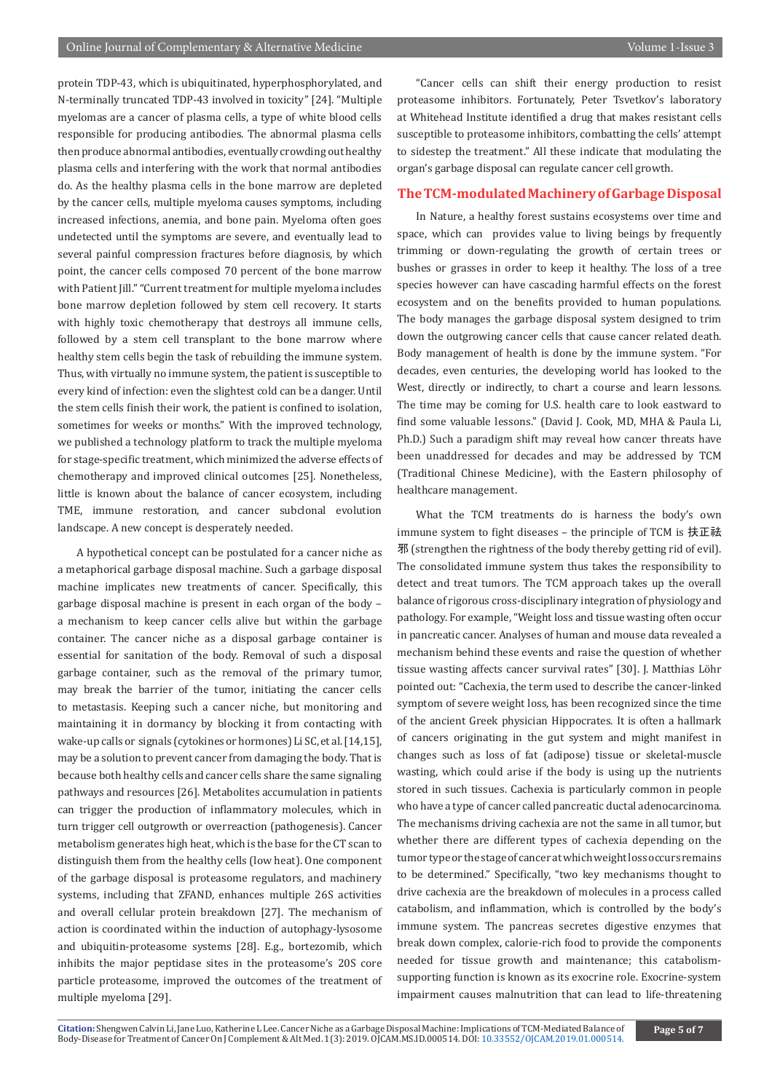protein TDP-43, which is ubiquitinated, hyperphosphorylated, and N-terminally truncated TDP-43 involved in toxicity" [24]. "Multiple myelomas are a cancer of plasma cells, a type of white blood cells responsible for producing antibodies. The abnormal plasma cells then produce abnormal antibodies, eventually crowding out healthy plasma cells and interfering with the work that normal antibodies do. As the healthy plasma cells in the bone marrow are depleted by the cancer cells, multiple myeloma causes symptoms, including increased infections, anemia, and bone pain. Myeloma often goes undetected until the symptoms are severe, and eventually lead to several painful compression fractures before diagnosis, by which point, the cancer cells composed 70 percent of the bone marrow with Patient Jill." "Current treatment for multiple myeloma includes bone marrow depletion followed by stem cell recovery. It starts with highly toxic chemotherapy that destroys all immune cells, followed by a stem cell transplant to the bone marrow where healthy stem cells begin the task of rebuilding the immune system. Thus, with virtually no immune system, the patient is susceptible to every kind of infection: even the slightest cold can be a danger. Until the stem cells finish their work, the patient is confined to isolation, sometimes for weeks or months." With the improved technology, we published a technology platform to track the multiple myeloma for stage-specific treatment, which minimized the adverse effects of chemotherapy and improved clinical outcomes [25]. Nonetheless, little is known about the balance of cancer ecosystem, including TME, immune restoration, and cancer subclonal evolution landscape. A new concept is desperately needed.

A hypothetical concept can be postulated for a cancer niche as a metaphorical garbage disposal machine. Such a garbage disposal machine implicates new treatments of cancer. Specifically, this garbage disposal machine is present in each organ of the body – a mechanism to keep cancer cells alive but within the garbage container. The cancer niche as a disposal garbage container is essential for sanitation of the body. Removal of such a disposal garbage container, such as the removal of the primary tumor, may break the barrier of the tumor, initiating the cancer cells to metastasis. Keeping such a cancer niche, but monitoring and maintaining it in dormancy by blocking it from contacting with wake-up calls or signals (cytokines or hormones) Li SC, et al. [14,15], may be a solution to prevent cancer from damaging the body. That is because both healthy cells and cancer cells share the same signaling pathways and resources [26]. Metabolites accumulation in patients can trigger the production of inflammatory molecules, which in turn trigger cell outgrowth or overreaction (pathogenesis). Cancer metabolism generates high heat, which is the base for the CT scan to distinguish them from the healthy cells (low heat). One component of the garbage disposal is proteasome regulators, and machinery systems, including that ZFAND, enhances multiple 26S activities and overall cellular protein breakdown [27]. The mechanism of action is coordinated within the induction of autophagy-lysosome and ubiquitin-proteasome systems [28]. E.g., bortezomib, which inhibits the major peptidase sites in the proteasome's 20S core particle proteasome, improved the outcomes of the treatment of multiple myeloma [29].

"Cancer cells can shift their energy production to resist proteasome inhibitors. Fortunately, Peter Tsvetkov's laboratory at Whitehead Institute identified a drug that makes resistant cells susceptible to proteasome inhibitors, combatting the cells' attempt to sidestep the treatment." All these indicate that modulating the organ's garbage disposal can regulate cancer cell growth.

## **The TCM-modulated Machinery of Garbage Disposal**

In Nature, a healthy forest sustains ecosystems over time and space, which can provides value to living beings by frequently trimming or down-regulating the growth of certain trees or bushes or grasses in order to keep it healthy. The loss of a tree species however can have cascading harmful effects on the forest ecosystem and on the benefits provided to human populations. The body manages the garbage disposal system designed to trim down the outgrowing cancer cells that cause cancer related death. Body management of health is done by the immune system. "For decades, even centuries, the developing world has looked to the West, directly or indirectly, to chart a course and learn lessons. The time may be coming for U.S. health care to look eastward to find some valuable lessons." (David J. Cook, MD, MHA & Paula Li, Ph.D.) Such a paradigm shift may reveal how cancer threats have been unaddressed for decades and may be addressed by TCM (Traditional Chinese Medicine), with the Eastern philosophy of healthcare management.

What the TCM treatments do is harness the body's own immune system to fight diseases - the principle of TCM is 扶正祛 邪 (strengthen the rightness of the body thereby getting rid of evil). The consolidated immune system thus takes the responsibility to detect and treat tumors. The TCM approach takes up the overall balance of rigorous cross-disciplinary integration of physiology and pathology. For example, "Weight loss and tissue wasting often occur in pancreatic cancer. Analyses of human and mouse data revealed a mechanism behind these events and raise the question of whether tissue wasting affects cancer survival rates" [30]. J. Matthias Löhr pointed out: "Cachexia, the term used to describe the cancer-linked symptom of severe weight loss, has been recognized since the time of the ancient Greek physician Hippocrates. It is often a hallmark of cancers originating in the gut system and might manifest in changes such as loss of fat (adipose) tissue or skeletal-muscle wasting, which could arise if the body is using up the nutrients stored in such tissues. Cachexia is particularly common in people who have a type of cancer called pancreatic ductal adenocarcinoma. The mechanisms driving cachexia are not the same in all tumor, but whether there are different types of cachexia depending on the tumor type or the stage of cancer at which weight loss occurs remains to be determined." Specifically, "two key mechanisms thought to drive cachexia are the breakdown of molecules in a process called catabolism, and inflammation, which is controlled by the body's immune system. The pancreas secretes digestive enzymes that break down complex, calorie-rich food to provide the components needed for tissue growth and maintenance; this catabolismsupporting function is known as its exocrine role. Exocrine-system impairment causes malnutrition that can lead to life-threatening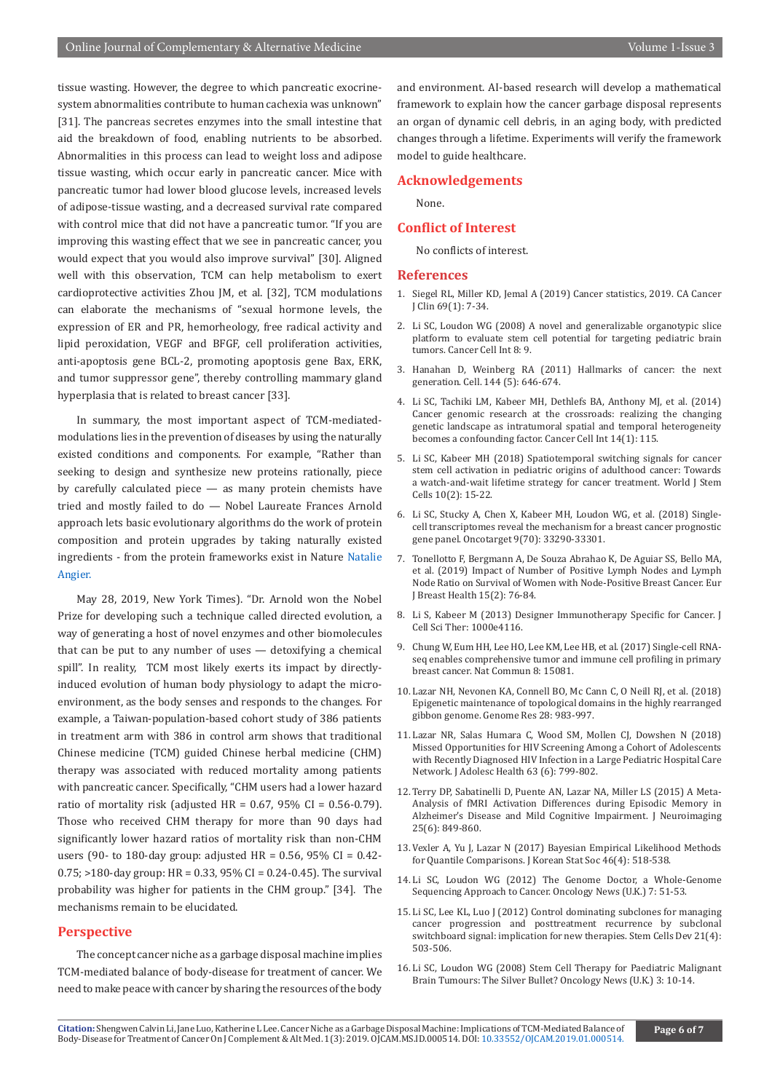tissue wasting. However, the degree to which pancreatic exocrinesystem abnormalities contribute to human cachexia was unknown" [31]. The pancreas secretes enzymes into the small intestine that aid the breakdown of food, enabling nutrients to be absorbed. Abnormalities in this process can lead to weight loss and adipose tissue wasting, which occur early in pancreatic cancer. Mice with pancreatic tumor had lower blood glucose levels, increased levels of adipose-tissue wasting, and a decreased survival rate compared with control mice that did not have a pancreatic tumor. "If you are improving this wasting effect that we see in pancreatic cancer, you would expect that you would also improve survival" [30]. Aligned well with this observation, TCM can help metabolism to exert cardioprotective activities Zhou JM, et al. [32], TCM modulations can elaborate the mechanisms of "sexual hormone levels, the expression of ER and PR, hemorheology, free radical activity and lipid peroxidation, VEGF and BFGF, cell proliferation activities, anti-apoptosis gene BCL-2, promoting apoptosis gene Bax, ERK, and tumor suppressor gene", thereby controlling mammary gland hyperplasia that is related to breast cancer [33].

In summary, the most important aspect of TCM-mediatedmodulations lies in the prevention of diseases by using the naturally existed conditions and components. For example, "Rather than seeking to design and synthesize new proteins rationally, piece by carefully calculated piece — as many protein chemists have tried and mostly failed to do — Nobel Laureate Frances Arnold approach lets basic evolutionary algorithms do the work of protein composition and protein upgrades by taking naturally existed ingredients - from the protein frameworks exist in Nature [Natalie](https://www.nytimes.com/by/natalie-angier) [Angier.](https://www.nytimes.com/by/natalie-angier)

May 28, 2019, New York Times). "Dr. Arnold won the Nobel Prize for developing such a technique called directed evolution, a way of generating a host of novel enzymes and other biomolecules that can be put to any number of uses — detoxifying a chemical spill". In reality, TCM most likely exerts its impact by directlyinduced evolution of human body physiology to adapt the microenvironment, as the body senses and responds to the changes. For example, a Taiwan-population-based cohort study of 386 patients in treatment arm with 386 in control arm shows that traditional Chinese medicine (TCM) guided Chinese herbal medicine (CHM) therapy was associated with reduced mortality among patients with pancreatic cancer. Specifically, "CHM users had a lower hazard ratio of mortality risk (adjusted HR =  $0.67$ ,  $95\%$  CI =  $0.56-0.79$ ). Those who received CHM therapy for more than 90 days had significantly lower hazard ratios of mortality risk than non-CHM users (90- to 180-day group: adjusted HR =  $0.56$ , 95% CI =  $0.42$ - $0.75$ ; >180-day group: HR = 0.33, 95% CI = 0.24-0.45). The survival probability was higher for patients in the CHM group." [34]. The mechanisms remain to be elucidated.

## **Perspective**

The concept cancer niche as a garbage disposal machine implies TCM-mediated balance of body-disease for treatment of cancer. We need to make peace with cancer by sharing the resources of the body

and environment. AI-based research will develop a mathematical framework to explain how the cancer garbage disposal represents an organ of dynamic cell debris, in an aging body, with predicted changes through a lifetime. Experiments will verify the framework model to guide healthcare.

## **Acknowledgements**

None.

## **Conflict of Interest**

No conflicts of interest.

#### **References**

- 1. [Siegel RL, Miller KD, Jemal A \(2019\) Cancer statistics, 2019. CA Cancer](https://www.ncbi.nlm.nih.gov/pubmed/30620402)  [J Clin 69\(1\): 7-34.](https://www.ncbi.nlm.nih.gov/pubmed/30620402)
- 2. [Li SC, Loudon WG \(2008\) A novel and generalizable organotypic slice](https://www.ncbi.nlm.nih.gov/pubmed/18498656)  [platform to evaluate stem cell potential for targeting pediatric brain](https://www.ncbi.nlm.nih.gov/pubmed/18498656)  [tumors. Cancer Cell Int 8: 9.](https://www.ncbi.nlm.nih.gov/pubmed/18498656)
- 3. [Hanahan D, Weinberg RA \(2011\) Hallmarks of cancer: the next](https://www.ncbi.nlm.nih.gov/pubmed/21376230)  [generation. Cell. 144 \(5\): 646-674.](https://www.ncbi.nlm.nih.gov/pubmed/21376230)
- 4. [Li SC, Tachiki LM, Kabeer MH, Dethlefs BA, Anthony MJ, et al. \(2014\)](https://www.ncbi.nlm.nih.gov/pubmed/25411563)  [Cancer genomic research at the crossroads: realizing the changing](https://www.ncbi.nlm.nih.gov/pubmed/25411563)  [genetic landscape as intratumoral spatial and temporal heterogeneity](https://www.ncbi.nlm.nih.gov/pubmed/25411563)  [becomes a confounding factor. Cancer Cell Int 14\(1\): 115.](https://www.ncbi.nlm.nih.gov/pubmed/25411563)
- 5. [Li SC, Kabeer MH \(2018\) Spatiotemporal switching signals for cancer](https://www.ncbi.nlm.nih.gov/pmc/articles/PMC5840533/)  [stem cell activation in pediatric origins of adulthood cancer: Towards](https://www.ncbi.nlm.nih.gov/pmc/articles/PMC5840533/)  [a watch-and-wait lifetime strategy for cancer treatment. World J Stem](https://www.ncbi.nlm.nih.gov/pmc/articles/PMC5840533/)  [Cells 10\(2\): 15-22.](https://www.ncbi.nlm.nih.gov/pmc/articles/PMC5840533/)
- 6. [Li SC, Stucky A, Chen X, Kabeer MH, Loudon WG, et al. \(2018\) Single](https://www.ncbi.nlm.nih.gov/pubmed/30279960)[cell transcriptomes reveal the mechanism for a breast cancer prognostic](https://www.ncbi.nlm.nih.gov/pubmed/30279960)  [gene panel. Oncotarget 9\(70\): 33290-33301.](https://www.ncbi.nlm.nih.gov/pubmed/30279960)
- 7. [Tonellotto F, Bergmann A, De Souza Abrahao K, De Aguiar SS, Bello MA,](https://www.ncbi.nlm.nih.gov/pmc/articles/PMC6456272/)  [et al. \(2019\) Impact of Number of Positive Lymph Nodes and Lymph](https://www.ncbi.nlm.nih.gov/pmc/articles/PMC6456272/)  [Node Ratio on Survival of Women with Node-Positive Breast Cancer. Eur](https://www.ncbi.nlm.nih.gov/pmc/articles/PMC6456272/)  [J Breast Health 15\(2\): 76-84.](https://www.ncbi.nlm.nih.gov/pmc/articles/PMC6456272/)
- 8. Li S, Kabeer M (2013) Designer Immunotherapy Specific for Cancer. J Cell Sci Ther: 1000e4116.
- 9. [Chung W, Eum HH, Lee HO, Lee KM, Lee HB, et al. \(2017\) Single-cell RNA](https://www.ncbi.nlm.nih.gov/pubmed/28474673)[seq enables comprehensive tumor and immune cell profiling in primary](https://www.ncbi.nlm.nih.gov/pubmed/28474673)  [breast cancer. Nat Commun 8: 15081.](https://www.ncbi.nlm.nih.gov/pubmed/28474673)
- 10. Lazar NH, Nevonen KA, Connell BO, Mc Cann C, O Neill RJ, et al. (2018) Epigenetic maintenance of topological domains in the highly rearranged gibbon genome. Genome Res 28: 983-997.
- 11. [Lazar NR, Salas Humara C, Wood SM, Mollen CJ, Dowshen N \(2018\)](https://www.ncbi.nlm.nih.gov/pubmed/30290980)  [Missed Opportunities for HIV Screening Among a Cohort of Adolescents](https://www.ncbi.nlm.nih.gov/pubmed/30290980)  [with Recently Diagnosed HIV Infection in a Large Pediatric Hospital Care](https://www.ncbi.nlm.nih.gov/pubmed/30290980)  [Network. J Adolesc Health 63 \(6\): 799-802.](https://www.ncbi.nlm.nih.gov/pubmed/30290980)
- 12. [Terry DP, Sabatinelli D, Puente AN, Lazar NA, Miller LS \(2015\) A Meta-](https://www.ncbi.nlm.nih.gov/pubmed/26076800)[Analysis of fMRI Activation Differences during Episodic Memory in](https://www.ncbi.nlm.nih.gov/pubmed/26076800)  [Alzheimer's Disease and Mild Cognitive Impairment. J Neuroimaging](https://www.ncbi.nlm.nih.gov/pubmed/26076800)  [25\(6\): 849-860.](https://www.ncbi.nlm.nih.gov/pubmed/26076800)
- 13. [Vexler A, Yu J, Lazar N \(2017\) Bayesian Empirical Likelihood Methods](https://www.ncbi.nlm.nih.gov/pubmed/29335668)  [for Quantile Comparisons. J Korean Stat Soc 46\(4\): 518-538.](https://www.ncbi.nlm.nih.gov/pubmed/29335668)
- 14. Li SC, Loudon WG (2012) The Genome Doctor, a Whole-Genome Sequencing Approach to Cancer. Oncology News (U.K.) 7: 51-53.
- 15. [Li SC, Lee KL, Luo J \(2012\) Control dominating subclones for managing](https://www.ncbi.nlm.nih.gov/pubmed/21933025)  [cancer progression and posttreatment recurrence by subclonal](https://www.ncbi.nlm.nih.gov/pubmed/21933025)  [switchboard signal: implication for new therapies. Stem Cells Dev 21\(4\):](https://www.ncbi.nlm.nih.gov/pubmed/21933025)  [503-506.](https://www.ncbi.nlm.nih.gov/pubmed/21933025)
- 16. Li SC, Loudon WG (2008) Stem Cell Therapy for Paediatric Malignant Brain Tumours: The Silver Bullet? Oncology News (U.K.) 3: 10-14.